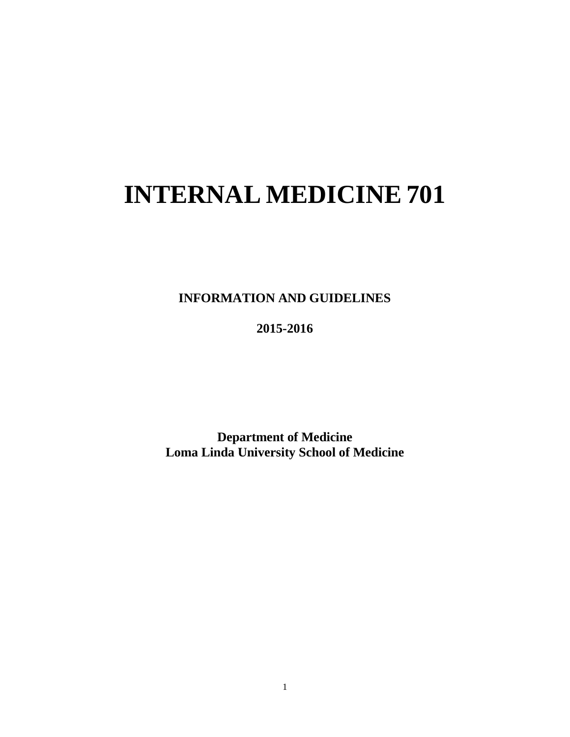# **INTERNAL MEDICINE 701**

**INFORMATION AND GUIDELINES**

**2015-2016**

**Department of Medicine Loma Linda University School of Medicine**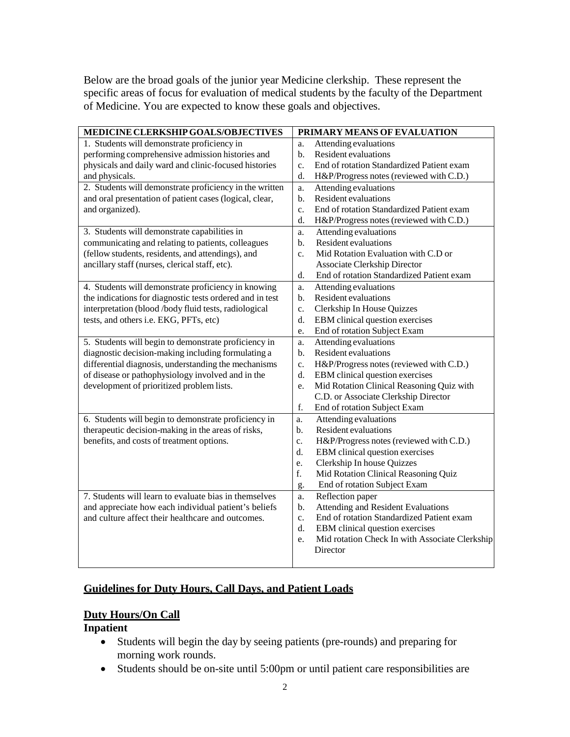Below are the broad goals of the junior year Medicine clerkship. These represent the specific areas of focus for evaluation of medical students by the faculty of the Department of Medicine. You are expected to know these goals and objectives.

| MEDICINE CLERKSHIP GOALS/OBJECTIVES                      | PRIMARY MEANS OF EVALUATION                          |  |
|----------------------------------------------------------|------------------------------------------------------|--|
| 1. Students will demonstrate proficiency in              | Attending evaluations<br>a.                          |  |
| performing comprehensive admission histories and         | Resident evaluations<br>$\mathbf{b}$ .               |  |
| physicals and daily ward and clinic-focused histories    | End of rotation Standardized Patient exam<br>c.      |  |
| and physicals.                                           | H&P/Progress notes (reviewed with C.D.)<br>d.        |  |
| 2. Students will demonstrate proficiency in the written  | Attending evaluations<br>a.                          |  |
| and oral presentation of patient cases (logical, clear,  | Resident evaluations<br>b.                           |  |
| and organized).                                          | End of rotation Standardized Patient exam<br>c.      |  |
|                                                          | d.<br>H&P/Progress notes (reviewed with C.D.)        |  |
| 3. Students will demonstrate capabilities in             | Attending evaluations<br>a.                          |  |
| communicating and relating to patients, colleagues       | Resident evaluations<br>b.                           |  |
| (fellow students, residents, and attendings), and        | Mid Rotation Evaluation with C.D or<br>c.            |  |
| ancillary staff (nurses, clerical staff, etc).           | Associate Clerkship Director                         |  |
|                                                          | End of rotation Standardized Patient exam<br>d.      |  |
| 4. Students will demonstrate proficiency in knowing      | Attending evaluations<br>a.                          |  |
| the indications for diagnostic tests ordered and in test | Resident evaluations<br>b.                           |  |
| interpretation (blood /body fluid tests, radiological    | Clerkship In House Quizzes<br>c.                     |  |
| tests, and others i.e. EKG, PFTs, etc)                   | EBM clinical question exercises<br>d.                |  |
|                                                          | End of rotation Subject Exam<br>e.                   |  |
| 5. Students will begin to demonstrate proficiency in     | Attending evaluations<br>a.                          |  |
| diagnostic decision-making including formulating a       | Resident evaluations<br>b.                           |  |
| differential diagnosis, understanding the mechanisms     | H&P/Progress notes (reviewed with C.D.)<br>c.        |  |
| of disease or pathophysiology involved and in the        | EBM clinical question exercises<br>d.                |  |
| development of prioritized problem lists.                | Mid Rotation Clinical Reasoning Quiz with<br>e.      |  |
|                                                          | C.D. or Associate Clerkship Director                 |  |
|                                                          | f.<br>End of rotation Subject Exam                   |  |
| 6. Students will begin to demonstrate proficiency in     | Attending evaluations<br>a.                          |  |
| therapeutic decision-making in the areas of risks,       | Resident evaluations<br>b.                           |  |
| benefits, and costs of treatment options.                | H&P/Progress notes (reviewed with C.D.)<br>c.        |  |
|                                                          | d.<br>EBM clinical question exercises                |  |
|                                                          | Clerkship In house Quizzes<br>e.                     |  |
|                                                          | f.<br>Mid Rotation Clinical Reasoning Quiz           |  |
|                                                          | End of rotation Subject Exam<br>g.                   |  |
| 7. Students will learn to evaluate bias in themselves    | Reflection paper<br>a.                               |  |
| and appreciate how each individual patient's beliefs     | <b>Attending and Resident Evaluations</b><br>b.      |  |
| and culture affect their healthcare and outcomes.        | End of rotation Standardized Patient exam<br>c.      |  |
|                                                          | EBM clinical question exercises<br>d.                |  |
|                                                          | Mid rotation Check In with Associate Clerkship<br>e. |  |
|                                                          | Director                                             |  |
|                                                          |                                                      |  |

### **Guidelines for Duty Hours, Call Days, and Patient Loads**

#### **Duty Hours/On Call**

#### **Inpatient**

- Students will begin the day by seeing patients (pre-rounds) and preparing for morning work rounds.
- Students should be on-site until 5:00pm or until patient care responsibilities are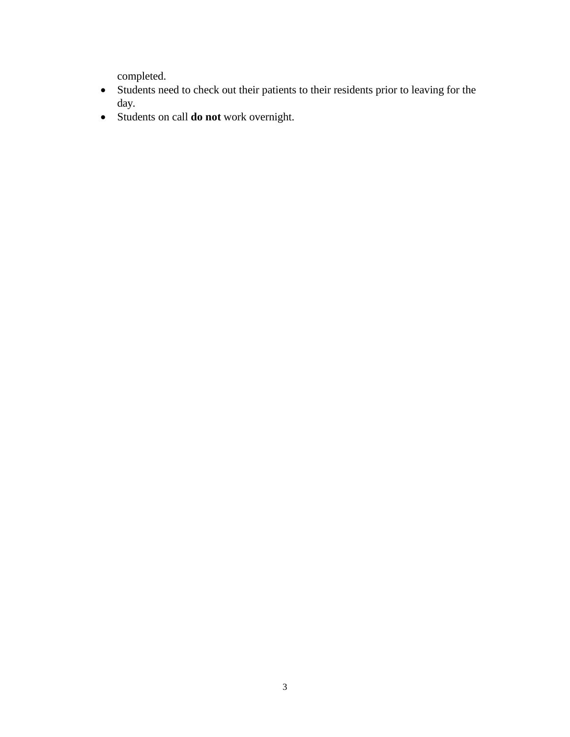completed.

- Students need to check out their patients to their residents prior to leaving for the day.
- Students on call **do not** work overnight.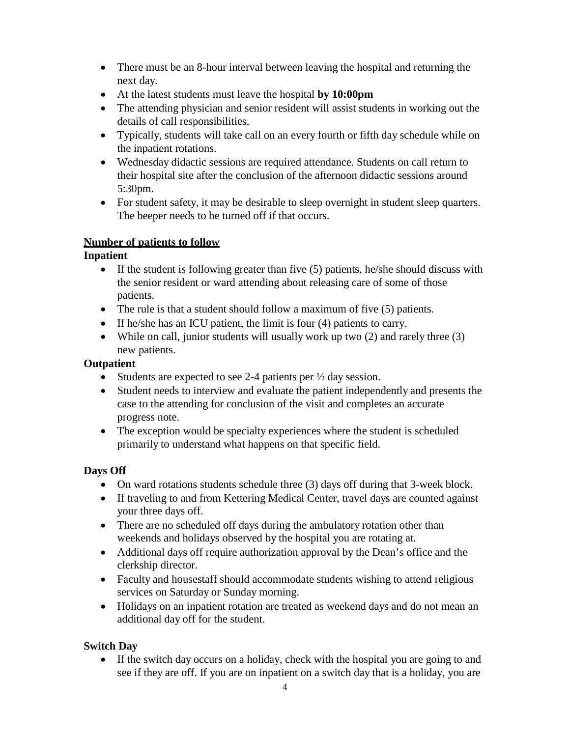- There must be an 8-hour interval between leaving the hospital and returning the next day.
- At the latest students must leave the hospital **by 10:00pm**
- The attending physician and senior resident will assist students in working out the details of call responsibilities.
- Typically, students will take call on an every fourth or fifth day schedule while on the inpatient rotations.
- Wednesday didactic sessions are required attendance. Students on call return to their hospital site after the conclusion of the afternoon didactic sessions around 5:30pm.
- For student safety, it may be desirable to sleep overnight in student sleep quarters. The beeper needs to be turned off if that occurs.

## **Number of patients to follow**

## **Inpatient**

- If the student is following greater than five (5) patients, he/she should discuss with the senior resident or ward attending about releasing care of some of those patients.
- The rule is that a student should follow a maximum of five (5) patients.
- If he/she has an ICU patient, the limit is four (4) patients to carry.
- While on call, junior students will usually work up two (2) and rarely three (3) new patients.

## **Outpatient**

- Students are expected to see 2-4 patients per  $\frac{1}{2}$  day session.
- Student needs to interview and evaluate the patient independently and presents the case to the attending for conclusion of the visit and completes an accurate progress note.
- The exception would be specialty experiences where the student is scheduled primarily to understand what happens on that specific field.

## **Days Off**

- On ward rotations students schedule three (3) days off during that 3-week block.
- If traveling to and from Kettering Medical Center, travel days are counted against your three days off.
- There are no scheduled off days during the ambulatory rotation other than weekends and holidays observed by the hospital you are rotating at.
- Additional days off require authorization approval by the Dean's office and the clerkship director.
- Faculty and housestaff should accommodate students wishing to attend religious services on Saturday or Sunday morning.
- Holidays on an inpatient rotation are treated as weekend days and do not mean an additional day off for the student.

## **Switch Day**

• If the switch day occurs on a holiday, check with the hospital you are going to and see if they are off. If you are on inpatient on a switch day that is a holiday, you are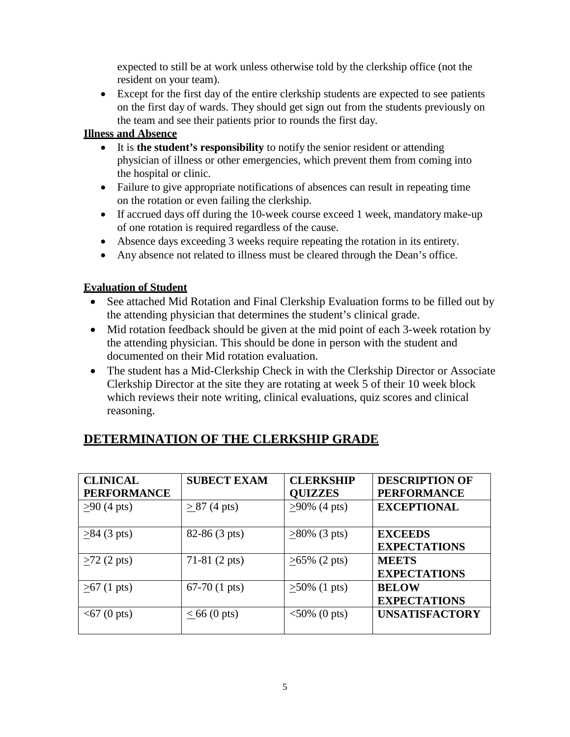expected to still be at work unless otherwise told by the clerkship office (not the resident on your team).

• Except for the first day of the entire clerkship students are expected to see patients on the first day of wards. They should get sign out from the students previously on the team and see their patients prior to rounds the first day.

## **Illness and Absence**

- It is **the student's responsibility** to notify the senior resident or attending physician of illness or other emergencies, which prevent them from coming into the hospital or clinic.
- Failure to give appropriate notifications of absences can result in repeating time on the rotation or even failing the clerkship.
- If accrued days off during the 10-week course exceed 1 week, mandatory make-up of one rotation is required regardless of the cause.
- Absence days exceeding 3 weeks require repeating the rotation in its entirety.
- Any absence not related to illness must be cleared through the Dean's office.

## **Evaluation of Student**

- See attached Mid Rotation and Final Clerkship Evaluation forms to be filled out by the attending physician that determines the student's clinical grade.
- Mid rotation feedback should be given at the mid point of each 3-week rotation by the attending physician. This should be done in person with the student and documented on their Mid rotation evaluation.
- The student has a Mid-Clerkship Check in with the Clerkship Director or Associate Clerkship Director at the site they are rotating at week 5 of their 10 week block which reviews their note writing, clinical evaluations, quiz scores and clinical reasoning.

| <b>CLINICAL</b>      | <b>SUBECT EXAM</b>     | <b>CLERKSHIP</b>    | <b>DESCRIPTION OF</b> |
|----------------------|------------------------|---------------------|-----------------------|
| <b>PERFORMANCE</b>   |                        | <b>QUIZZES</b>      | <b>PERFORMANCE</b>    |
| $>90(4 \text{ pts})$ | $> 87 (4 \text{ pts})$ | $>90\%$ (4 pts)     | <b>EXCEPTIONAL</b>    |
| $>84$ (3 pts)        | 82-86 (3 pts)          | $>80\%$ (3 pts)     | <b>EXCEEDS</b>        |
|                      |                        |                     | <b>EXPECTATIONS</b>   |
| $\geq$ 72 (2 pts)    | $71-81$ (2 pts)        | $\geq 65\%$ (2 pts) | <b>MEETS</b>          |
|                      |                        |                     | <b>EXPECTATIONS</b>   |
| $\geq 67$ (1 pts)    | $67-70$ (1 pts)        | $\geq 50\%$ (1 pts) | <b>BELOW</b>          |
|                      |                        |                     | <b>EXPECTATIONS</b>   |
| $<$ 67 (0 pts)       | $\leq 66$ (0 pts)      | $<50\%$ (0 pts)     | <b>UNSATISFACTORY</b> |

## **DETERMINATION OF THE CLERKSHIP GRADE**